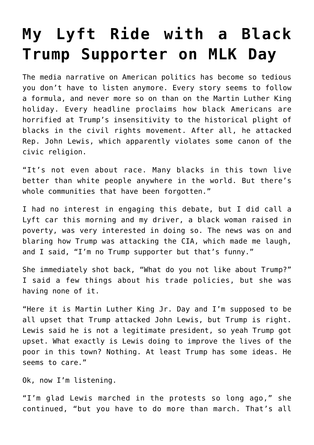## **[My Lyft Ride with a Black](https://intellectualtakeout.org/2017/01/my-lyft-ride-with-a-black-trump-supporter-on-mlk-day/) [Trump Supporter on MLK Day](https://intellectualtakeout.org/2017/01/my-lyft-ride-with-a-black-trump-supporter-on-mlk-day/)**

The media narrative on American politics has become so tedious you don't have to listen anymore. Every story seems to follow a formula, and never more so on than on the Martin Luther King holiday. Every headline proclaims how black Americans are horrified at Trump's insensitivity to the historical plight of blacks in the civil rights movement. After all, he attacked Rep. John Lewis, which apparently violates some canon of the civic religion.

"It's not even about race. Many blacks in this town live better than white people anywhere in the world. But there's whole communities that have been forgotten."

I had no interest in engaging this debate, but I did call a Lyft car this morning and my driver, a black woman raised in poverty, was very interested in doing so. The news was on and blaring how Trump was attacking the CIA, which made me laugh, and I said, "I'm no Trump supporter but that's funny."

She immediately shot back, "What do you not like about Trump?" I said a few things about his trade policies, but she was having none of it.

"Here it is Martin Luther King Jr. Day and I'm supposed to be all upset that Trump attacked John Lewis, but Trump is right. Lewis said he is not a legitimate president, so yeah Trump got upset. What exactly is Lewis doing to improve the lives of the poor in this town? Nothing. At least Trump has some ideas. He seems to care."

Ok, now I'm listening.

"I'm glad Lewis marched in the protests so long ago," she continued, "but you have to do more than march. That's all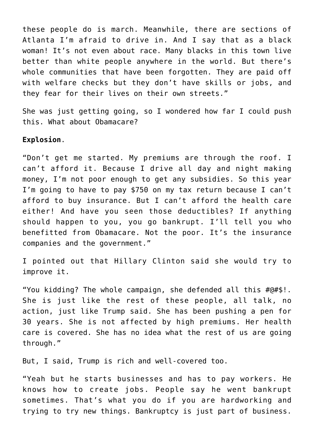these people do is march. Meanwhile, there are sections of Atlanta I'm afraid to drive in. And I say that as a black woman! It's not even about race. Many blacks in this town live better than white people anywhere in the world. But there's whole communities that have been forgotten. They are paid off with welfare checks but they don't have skills or jobs, and they fear for their lives on their own streets."

She was just getting going, so I wondered how far I could push this. What about Obamacare?

## **Explosion**.

"Don't get me started. My premiums are through the roof. I can't afford it. Because I drive all day and night making money, I'm not poor enough to get any subsidies. So this year I'm going to have to pay \$750 on my tax return because I can't afford to buy insurance. But I can't afford the health care either! And have you seen those deductibles? If anything should happen to you, you go bankrupt. I'll tell you who benefitted from Obamacare. Not the poor. It's the insurance companies and the government."

I pointed out that Hillary Clinton said she would try to improve it.

"You kidding? The whole campaign, she defended all this #@#\$!. She is just like the rest of these people, all talk, no action, just like Trump said. She has been pushing a pen for 30 years. She is not affected by high premiums. Her health care is covered. She has no idea what the rest of us are going through."

But, I said, Trump is rich and well-covered too.

"Yeah but he starts businesses and has to pay workers. He knows how to create jobs. People say he went bankrupt sometimes. That's what you do if you are hardworking and trying to try new things. Bankruptcy is just part of business.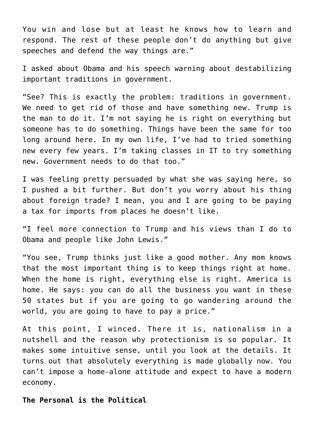You win and lose but at least he knows how to learn and respond. The rest of these people don't do anything but give speeches and defend the way things are."

I asked about Obama and his speech warning about destabilizing important traditions in government.

"See? This is exactly the problem: traditions in government. We need to get rid of those and have something new. Trump is the man to do it. I'm not saying he is right on everything but someone has to do something. Things have been the same for too long around here. In my own life, I've had to tried something new every few years. I'm taking classes in IT to try something new. Government needs to do that too."

I was feeling pretty persuaded by what she was saying here, so I pushed a bit further. But don't you worry about his thing about foreign trade? I mean, you and I are going to be paying a tax for imports from places he doesn't like.

"I feel more connection to Trump and his views than I do to Obama and people like John Lewis."

"You see, Trump thinks just like a good mother. Any mom knows that the most important thing is to keep things right at home. When the home is right, everything else is right. America is home. He says: you can do all the business you want in these 50 states but if you are going to go wandering around the world, you are going to have to pay a price."

At this point, I winced. There it is, nationalism in a nutshell and the reason why protectionism is so popular. It makes some intuitive sense, until you look at the details. It turns out that absolutely everything is made globally now. You can't impose a home-alone attitude and expect to have a modern economy.

**The Personal is the Political**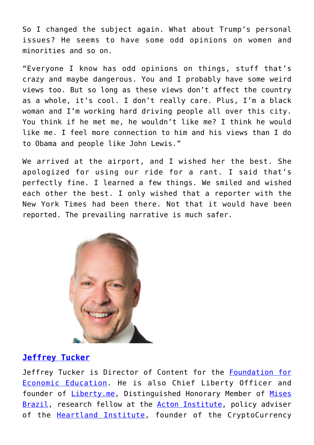So I changed the subject again. What about Trump's personal issues? He seems to have some odd opinions on women and minorities and so on.

"Everyone I know has odd opinions on things, stuff that's crazy and maybe dangerous. You and I probably have some weird views too. But so long as these views don't affect the country as a whole, it's cool. I don't really care. Plus, I'm a black woman and I'm working hard driving people all over this city. You think if he met me, he wouldn't like me? I think he would like me. I feel more connection to him and his views than I do to Obama and people like John Lewis."

We arrived at the airport, and I wished her the best. She apologized for using our ride for a rant. I said that's perfectly fine. I learned a few things. We smiled and wished each other the best. I only wished that a reporter with the New York Times had been there. Not that it would have been reported. The prevailing narrative is much safer.



## **[Jeffrey Tucker](https://fee.org/people/jeffrey-a-tucker/)**

Jeffrey Tucker is Director of Content for the [Foundation for](https://fee.org/) [Economic Education.](https://fee.org/) He is also Chief Liberty Officer and founder of *Liberty.me*, Distinguished Honorary Member of [Mises](http://www.mises.org.br/) [Brazil,](http://www.mises.org.br/) research fellow at the [Acton Institute](http://www.acton.org/), policy adviser of the **[Heartland Institute](https://www.heartland.org/index.html)**, founder of the CryptoCurrency